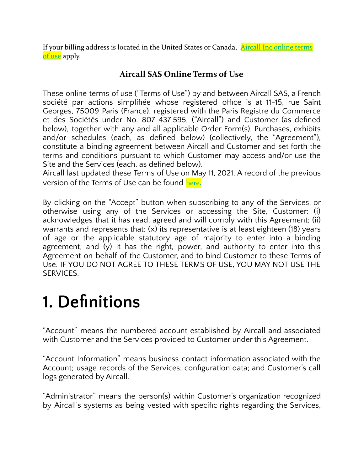If your billing address is located in the United States or Canada, *[Aircall Inc](https://aircall.io/terms-of-use/inc) online terms* of [use](https://aircall.io/terms-of-use/inc) apply.

#### **Aircall SAS Online Terms of Use**

These online terms of use ("Terms of Use") by and between Aircall SAS, a French société par actions simplifiée whose registered office is at 11-15, rue Saint Georges, 75009 Paris (France), registered with the Paris Registre du Commerce et des Sociétés under No. 807 437 595, ("Aircall") and Customer (as defined below), together with any and all applicable Order Form(s), Purchases, exhibits and/or schedules (each, as defined below) (collectively, the "Agreement"), constitute a binding agreement between Aircall and Customer and set forth the terms and conditions pursuant to which Customer may access and/or use the Site and the Services (each, as defined below).

Aircall last updated these Terms of Use on May 11, 2021. A record of the previous version of the Terms of Use can be found [here](https://aircall.io/US_Online_T&Cs(6-21-2019).pdf).

By clicking on the "Accept" button when subscribing to any of the Services, or otherwise using any of the Services or accessing the Site, Customer: (i) acknowledges that it has read, agreed and will comply with this Agreement; (ii) warrants and represents that: (x) its representative is at least eighteen (18) years of age or the applicable statutory age of majority to enter into a binding agreement; and  $(y)$  it has the right, power, and authority to enter into this Agreement on behalf of the Customer, and to bind Customer to these Terms of Use. IF YOU DO NOT AGREE TO THESE TERMS OF USE, YOU MAY NOT USE THE SERVICES.

## **1. Definitions**

"Account" means the numbered account established by Aircall and associated with Customer and the Services provided to Customer under this Agreement.

"Account Information" means business contact information associated with the Account; usage records of the Services; configuration data; and Customer's call logs generated by Aircall.

"Administrator" means the person(s) within Customer's organization recognized by Aircall's systems as being vested with specific rights regarding the Services,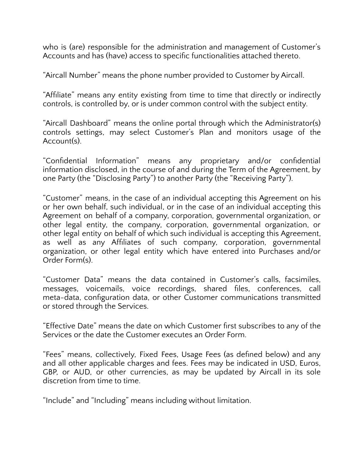who is (are) responsible for the administration and management of Customer's Accounts and has (have) access to specific functionalities attached thereto.

"Aircall Number" means the phone number provided to Customer by Aircall.

"Affiliate" means any entity existing from time to time that directly or indirectly controls, is controlled by, or is under common control with the subject entity.

"Aircall Dashboard" means the online portal through which the Administrator(s) controls settings, may select Customer's Plan and monitors usage of the Account(s).

"Confidential Information" means any proprietary and/or confidential information disclosed, in the course of and during the Term of the Agreement, by one Party (the "Disclosing Party") to another Party (the "Receiving Party").

"Customer" means, in the case of an individual accepting this Agreement on his or her own behalf, such individual, or in the case of an individual accepting this Agreement on behalf of a company, corporation, governmental organization, or other legal entity, the company, corporation, governmental organization, or other legal entity on behalf of which such individual is accepting this Agreement, as well as any Affiliates of such company, corporation, governmental organization, or other legal entity which have entered into Purchases and/or Order Form(s).

"Customer Data" means the data contained in Customer's calls, facsimiles, messages, voicemails, voice recordings, shared files, conferences, call meta-data, configuration data, or other Customer communications transmitted or stored through the Services.

"Effective Date" means the date on which Customer first subscribes to any of the Services or the date the Customer executes an Order Form.

"Fees" means, collectively, Fixed Fees, Usage Fees (as defined below) and any and all other applicable charges and fees. Fees may be indicated in USD, Euros, GBP, or AUD, or other currencies, as may be updated by Aircall in its sole discretion from time to time.

"Include" and "Including" means including without limitation.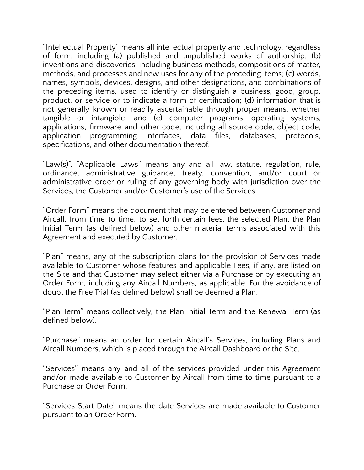"Intellectual Property" means all intellectual property and technology, regardless of form, including (a) published and unpublished works of authorship; (b) inventions and discoveries, including business methods, compositions of matter, methods, and processes and new uses for any of the preceding items; (c) words, names, symbols, devices, designs, and other designations, and combinations of the preceding items, used to identify or distinguish a business, good, group, product, or service or to indicate a form of certification; (d) information that is not generally known or readily ascertainable through proper means, whether tangible or intangible; and (e) computer programs, operating systems, applications, firmware and other code, including all source code, object code, application programming interfaces, data files, databases, protocols, specifications, and other documentation thereof.

"Law(s)", "Applicable Laws" means any and all law, statute, regulation, rule, ordinance, administrative guidance, treaty, convention, and/or court or administrative order or ruling of any governing body with jurisdiction over the Services, the Customer and/or Customer's use of the Services.

"Order Form" means the document that may be entered between Customer and Aircall, from time to time, to set forth certain fees, the selected Plan, the Plan Initial Term (as defined below) and other material terms associated with this Agreement and executed by Customer.

"Plan" means, any of the subscription plans for the provision of Services made available to Customer whose features and applicable Fees, if any, are listed on the Site and that Customer may select either via a Purchase or by executing an Order Form, including any Aircall Numbers, as applicable. For the avoidance of doubt the Free Trial (as defined below) shall be deemed a Plan.

"Plan Term" means collectively, the Plan Initial Term and the Renewal Term (as defined below).

"Purchase" means an order for certain Aircall's Services, including Plans and Aircall Numbers, which is placed through the Aircall Dashboard or the Site.

"Services" means any and all of the services provided under this Agreement and/or made available to Customer by Aircall from time to time pursuant to a Purchase or Order Form.

"Services Start Date" means the date Services are made available to Customer pursuant to an Order Form.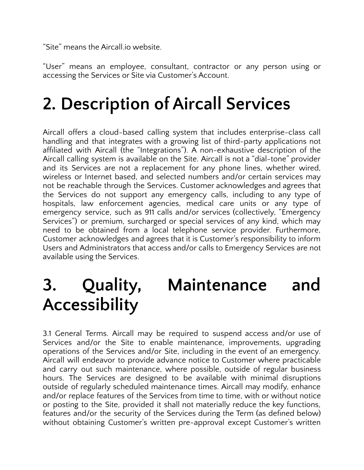"Site" means the Aircall.io website.

"User" means an employee, consultant, contractor or any person using or accessing the Services or Site via Customer's Account.

# **2. Description of Aircall Services**

Aircall offers a cloud-based calling system that includes enterprise-class call handling and that integrates with a growing list of third-party applications not affiliated with Aircall (the "Integrations"). A non-exhaustive description of the Aircall calling system is available on the Site. Aircall is not a "dial-tone" provider and its Services are not a replacement for any phone lines, whether wired, wireless or Internet based, and selected numbers and/or certain services may not be reachable through the Services. Customer acknowledges and agrees that the Services do not support any emergency calls, including to any type of hospitals, law enforcement agencies, medical care units or any type of emergency service, such as 911 calls and/or services (collectively, "Emergency Services") or premium, surcharged or special services of any kind, which may need to be obtained from a local telephone service provider. Furthermore, Customer acknowledges and agrees that it is Customer's responsibility to inform Users and Administrators that access and/or calls to Emergency Services are not available using the Services.

# **3. Quality, Maintenance and Accessibility**

3.1 General Terms. Aircall may be required to suspend access and/or use of Services and/or the Site to enable maintenance, improvements, upgrading operations of the Services and/or Site, including in the event of an emergency. Aircall will endeavor to provide advance notice to Customer where practicable and carry out such maintenance, where possible, outside of regular business hours. The Services are designed to be available with minimal disruptions outside of regularly scheduled maintenance times. Aircall may modify, enhance and/or replace features of the Services from time to time, with or without notice or posting to the Site, provided it shall not materially reduce the key functions, features and/or the security of the Services during the Term (as defined below) without obtaining Customer's written pre-approval except Customer's written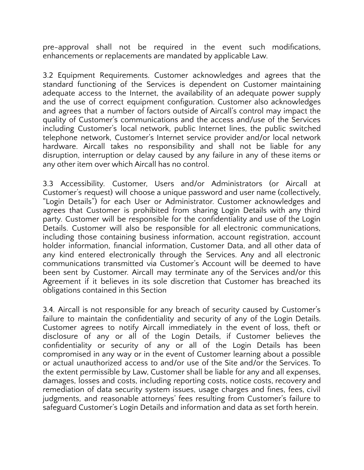pre-approval shall not be required in the event such modifications, enhancements or replacements are mandated by applicable Law.

3.2 Equipment Requirements. Customer acknowledges and agrees that the standard functioning of the Services is dependent on Customer maintaining adequate access to the Internet, the availability of an adequate power supply and the use of correct equipment configuration. Customer also acknowledges and agrees that a number of factors outside of Aircall's control may impact the quality of Customer's communications and the access and/use of the Services including Customer's local network, public Internet lines, the public switched telephone network, Customer's Internet service provider and/or local network hardware. Aircall takes no responsibility and shall not be liable for any disruption, interruption or delay caused by any failure in any of these items or any other item over which Aircall has no control.

3.3 Accessibility. Customer, Users and/or Administrators (or Aircall at Customer's request) will choose a unique password and user name (collectively, "Login Details") for each User or Administrator. Customer acknowledges and agrees that Customer is prohibited from sharing Login Details with any third party. Customer will be responsible for the confidentiality and use of the Login Details. Customer will also be responsible for all electronic communications, including those containing business information, account registration, account holder information, financial information, Customer Data, and all other data of any kind entered electronically through the Services. Any and all electronic communications transmitted via Customer's Account will be deemed to have been sent by Customer. Aircall may terminate any of the Services and/or this Agreement if it believes in its sole discretion that Customer has breached its obligations contained in this Section

3.4. Aircall is not responsible for any breach of security caused by Customer's failure to maintain the confidentiality and security of any of the Login Details. Customer agrees to notify Aircall immediately in the event of loss, theft or disclosure of any or all of the Login Details, if Customer believes the confidentiality or security of any or all of the Login Details has been compromised in any way or in the event of Customer learning about a possible or actual unauthorized access to and/or use of the Site and/or the Services. To the extent permissible by Law, Customer shall be liable for any and all expenses, damages, losses and costs, including reporting costs, notice costs, recovery and remediation of data security system issues, usage charges and fines, fees, civil judgments, and reasonable attorneys' fees resulting from Customer's failure to safeguard Customer's Login Details and information and data as set forth herein.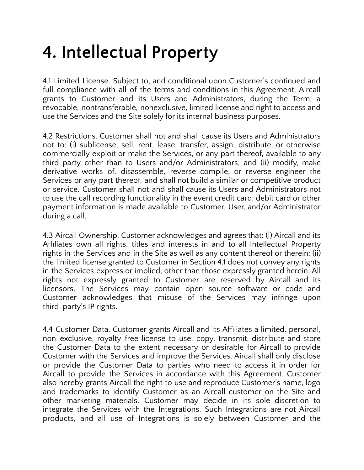# **4. Intellectual Property**

4.1 Limited License. Subject to, and conditional upon Customer's continued and full compliance with all of the terms and conditions in this Agreement, Aircall grants to Customer and its Users and Administrators, during the Term, a revocable, nontransferable, nonexclusive, limited license and right to access and use the Services and the Site solely for its internal business purposes.

4.2 Restrictions. Customer shall not and shall cause its Users and Administrators not to: (i) sublicense, sell, rent, lease, transfer, assign, distribute, or otherwise commercially exploit or make the Services, or any part thereof, available to any third party other than to Users and/or Administrators; and (ii) modify, make derivative works of, disassemble, reverse compile, or reverse engineer the Services or any part thereof, and shall not build a similar or competitive product or service. Customer shall not and shall cause its Users and Administrators not to use the call recording functionality in the event credit card, debit card or other payment information is made available to Customer, User, and/or Administrator during a call.

4.3 Aircall Ownership. Customer acknowledges and agrees that: (i) Aircall and its Affiliates own all rights, titles and interests in and to all Intellectual Property rights in the Services and in the Site as well as any content thereof or therein; (ii) the limited license granted to Customer in Section 4.1 does not convey any rights in the Services express or implied, other than those expressly granted herein. All rights not expressly granted to Customer are reserved by Aircall and its licensors. The Services may contain open source software or code and Customer acknowledges that misuse of the Services may infringe upon third-party's IP rights.

4.4 Customer Data. Customer grants Aircall and its Affiliates a limited, personal, non-exclusive, royalty-free license to use, copy, transmit, distribute and store the Customer Data to the extent necessary or desirable for Aircall to provide Customer with the Services and improve the Services. Aircall shall only disclose or provide the Customer Data to parties who need to access it in order for Aircall to provide the Services in accordance with this Agreement. Customer also hereby grants Aircall the right to use and reproduce Customer's name, logo and trademarks to identify Customer as an Aircall customer on the Site and other marketing materials. Customer may decide in its sole discretion to integrate the Services with the Integrations. Such Integrations are not Aircall products, and all use of Integrations is solely between Customer and the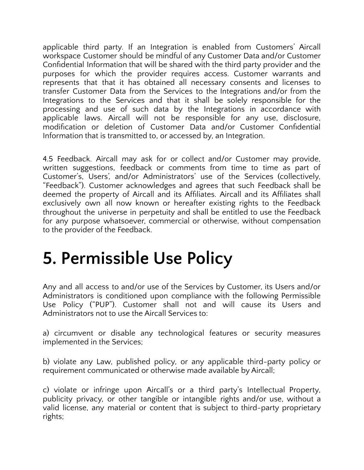applicable third party. If an Integration is enabled from Customers' Aircall workspace Customer should be mindful of any Customer Data and/or Customer Confidential Information that will be shared with the third party provider and the purposes for which the provider requires access. Customer warrants and represents that that it has obtained all necessary consents and licenses to transfer Customer Data from the Services to the Integrations and/or from the Integrations to the Services and that it shall be solely responsible for the processing and use of such data by the Integrations in accordance with applicable laws. Aircall will not be responsible for any use, disclosure, modification or deletion of Customer Data and/or Customer Confidential Information that is transmitted to, or accessed by, an Integration.

4.5 Feedback. Aircall may ask for or collect and/or Customer may provide, written suggestions, feedback or comments from time to time as part of Customer's, Users', and/or Administrators' use of the Services (collectively, "Feedback"). Customer acknowledges and agrees that such Feedback shall be deemed the property of Aircall and its Affiliates. Aircall and its Affiliates shall exclusively own all now known or hereafter existing rights to the Feedback throughout the universe in perpetuity and shall be entitled to use the Feedback for any purpose whatsoever, commercial or otherwise, without compensation to the provider of the Feedback.

## **5. Permissible Use Policy**

Any and all access to and/or use of the Services by Customer, its Users and/or Administrators is conditioned upon compliance with the following Permissible Use Policy ("PUP"). Customer shall not and will cause its Users and Administrators not to use the Aircall Services to:

a) circumvent or disable any technological features or security measures implemented in the Services;

b) violate any Law, published policy, or any applicable third-party policy or requirement communicated or otherwise made available by Aircall;

c) violate or infringe upon Aircall's or a third party's Intellectual Property, publicity privacy, or other tangible or intangible rights and/or use, without a valid license, any material or content that is subject to third-party proprietary rights;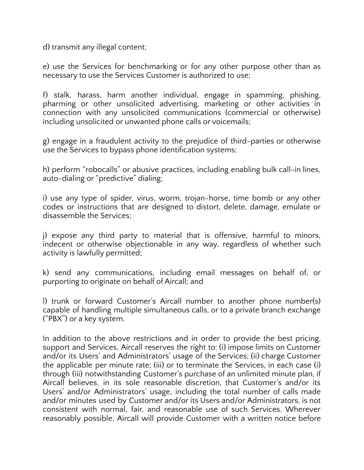d) transmit any illegal content;

e) use the Services for benchmarking or for any other purpose other than as necessary to use the Services Customer is authorized to use;

f) stalk, harass, harm another individual, engage in spamming, phishing, pharming or other unsolicited advertising, marketing or other activities in connection with any unsolicited communications (commercial or otherwise) including unsolicited or unwanted phone calls or voicemails;

g) engage in a fraudulent activity to the prejudice of third-parties or otherwise use the Services to bypass phone identification systems;

h) perform "robocalls" or abusive practices, including enabling bulk call-in lines, auto-dialing or "predictive" dialing;

i) use any type of spider, virus, worm, trojan-horse, time bomb or any other codes or instructions that are designed to distort, delete, damage, emulate or disassemble the Services;

j) expose any third party to material that is offensive, harmful to minors, indecent or otherwise objectionable in any way, regardless of whether such activity is lawfully permitted;

k) send any communications, including email messages on behalf of, or purporting to originate on behalf of Aircall; and

l) trunk or forward Customer's Aircall number to another phone number(s) capable of handling multiple simultaneous calls, or to a private branch exchange ("PBX") or a key system.

In addition to the above restrictions and in order to provide the best pricing, support and Services, Aircall reserves the right to: (i) impose limits on Customer and/or its Users' and Administrators' usage of the Services; (ii) charge Customer the applicable per minute rate; (iii) or to terminate the Services, in each case (i) through (iii) notwithstanding Customer's purchase of an unlimited minute plan, if Aircall believes, in its sole reasonable discretion, that Customer's and/or its Users' and/or Administrators' usage, including the total number of calls made and/or minutes used by Customer and/or its Users and/or Administrators, is not consistent with normal, fair, and reasonable use of such Services. Wherever reasonably possible, Aircall will provide Customer with a written notice before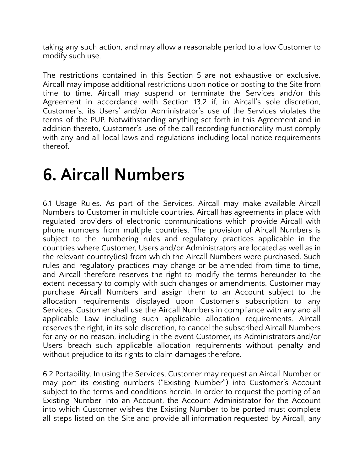taking any such action, and may allow a reasonable period to allow Customer to modify such use.

The restrictions contained in this Section 5 are not exhaustive or exclusive. Aircall may impose additional restrictions upon notice or posting to the Site from time to time. Aircall may suspend or terminate the Services and/or this Agreement in accordance with Section 13.2 if, in Aircall's sole discretion, Customer's, its Users' and/or Administrator's use of the Services violates the terms of the PUP. Notwithstanding anything set forth in this Agreement and in addition thereto, Customer's use of the call recording functionality must comply with any and all local laws and regulations including local notice requirements thereof.

## **6. Aircall Numbers**

6.1 Usage Rules. As part of the Services, Aircall may make available Aircall Numbers to Customer in multiple countries. Aircall has agreements in place with regulated providers of electronic communications which provide Aircall with phone numbers from multiple countries. The provision of Aircall Numbers is subject to the numbering rules and regulatory practices applicable in the countries where Customer, Users and/or Administrators are located as well as in the relevant country(ies) from which the Aircall Numbers were purchased. Such rules and regulatory practices may change or be amended from time to time, and Aircall therefore reserves the right to modify the terms hereunder to the extent necessary to comply with such changes or amendments. Customer may purchase Aircall Numbers and assign them to an Account subject to the allocation requirements displayed upon Customer's subscription to any Services. Customer shall use the Aircall Numbers in compliance with any and all applicable Law including such applicable allocation requirements. Aircall reserves the right, in its sole discretion, to cancel the subscribed Aircall Numbers for any or no reason, including in the event Customer, its Administrators and/or Users breach such applicable allocation requirements without penalty and without prejudice to its rights to claim damages therefore.

6.2 Portability. In using the Services, Customer may request an Aircall Number or may port its existing numbers ("Existing Number") into Customer's Account subject to the terms and conditions herein. In order to request the porting of an Existing Number into an Account, the Account Administrator for the Account into which Customer wishes the Existing Number to be ported must complete all steps listed on the Site and provide all information requested by Aircall, any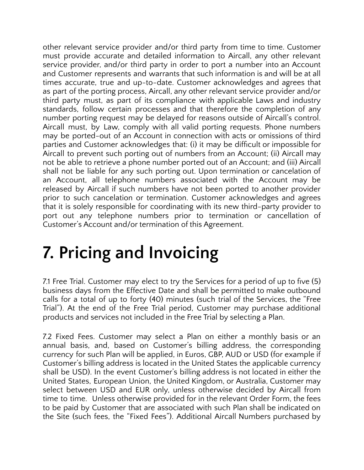other relevant service provider and/or third party from time to time. Customer must provide accurate and detailed information to Aircall, any other relevant service provider, and/or third party in order to port a number into an Account and Customer represents and warrants that such information is and will be at all times accurate, true and up-to-date. Customer acknowledges and agrees that as part of the porting process, Aircall, any other relevant service provider and/or third party must, as part of its compliance with applicable Laws and industry standards, follow certain processes and that therefore the completion of any number porting request may be delayed for reasons outside of Aircall's control. Aircall must, by Law, comply with all valid porting requests. Phone numbers may be ported-out of an Account in connection with acts or omissions of third parties and Customer acknowledges that: (i) it may be difficult or impossible for Aircall to prevent such porting out of numbers from an Account; (ii) Aircall may not be able to retrieve a phone number ported out of an Account; and (iii) Aircall shall not be liable for any such porting out. Upon termination or cancelation of an Account, all telephone numbers associated with the Account may be released by Aircall if such numbers have not been ported to another provider prior to such cancelation or termination. Customer acknowledges and agrees that it is solely responsible for coordinating with its new third-party provider to port out any telephone numbers prior to termination or cancellation of Customer's Account and/or termination of this Agreement.

# **7. Pricing and Invoicing**

7.1 Free Trial. Customer may elect to try the Services for a period of up to five (5) business days from the Effective Date and shall be permitted to make outbound calls for a total of up to forty (40) minutes (such trial of the Services, the "Free Trial"). At the end of the Free Trial period, Customer may purchase additional products and services not included in the Free Trial by selecting a Plan.

7.2 Fixed Fees. Customer may select a Plan on either a monthly basis or an annual basis, and, based on Customer's billing address, the corresponding currency for such Plan will be applied, in Euros, GBP, AUD or USD (for example if Customer's billing address is located in the United States the applicable currency shall be USD). In the event Customer's billing address is not located in either the United States, European Union, the United Kingdom, or Australia, Customer may select between USD and EUR only, unless otherwise decided by Aircall from time to time. Unless otherwise provided for in the relevant Order Form, the fees to be paid by Customer that are associated with such Plan shall be indicated on the Site (such fees, the "Fixed Fees"). Additional Aircall Numbers purchased by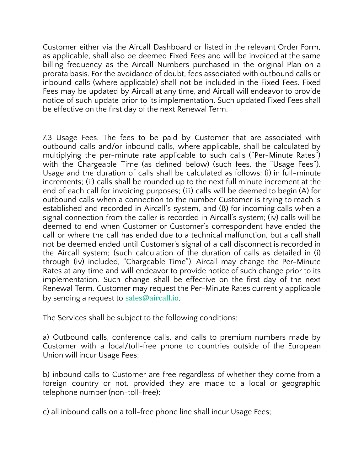Customer either via the Aircall Dashboard or listed in the relevant Order Form, as applicable, shall also be deemed Fixed Fees and will be invoiced at the same billing frequency as the Aircall Numbers purchased in the original Plan on a prorata basis. For the avoidance of doubt, fees associated with outbound calls or inbound calls (where applicable) shall not be included in the Fixed Fees. Fixed Fees may be updated by Aircall at any time, and Aircall will endeavor to provide notice of such update prior to its implementation. Such updated Fixed Fees shall be effective on the first day of the next Renewal Term.

7.3 Usage Fees. The fees to be paid by Customer that are associated with outbound calls and/or inbound calls, where applicable, shall be calculated by multiplying the per-minute rate applicable to such calls ("Per-Minute Rates") with the Chargeable Time (as defined below) (such fees, the "Usage Fees"). Usage and the duration of calls shall be calculated as follows: (i) in full-minute increments; (ii) calls shall be rounded up to the next full minute increment at the end of each call for invoicing purposes; (iii) calls will be deemed to begin (A) for outbound calls when a connection to the number Customer is trying to reach is established and recorded in Aircall's system, and (B) for incoming calls when a signal connection from the caller is recorded in Aircall's system; (iv) calls will be deemed to end when Customer or Customer's correspondent have ended the call or where the call has ended due to a technical malfunction, but a call shall not be deemed ended until Customer's signal of a call disconnect is recorded in the Aircall system; (such calculation of the duration of calls as detailed in (i) through (iv) included, "Chargeable Time"). Aircall may change the Per-Minute Rates at any time and will endeavor to provide notice of such change prior to its implementation. Such change shall be effective on the first day of the next Renewal Term. Customer may request the Per-Minute Rates currently applicable by sending a request to [sales@aircall.io](mailto:sales@aircall.io).

The Services shall be subject to the following conditions:

a) Outbound calls, conference calls, and calls to premium numbers made by Customer with a local/toll-free phone to countries outside of the European Union will incur Usage Fees;

b) inbound calls to Customer are free regardless of whether they come from a foreign country or not, provided they are made to a local or geographic telephone number (non-toll-free);

c) all inbound calls on a toll-free phone line shall incur Usage Fees;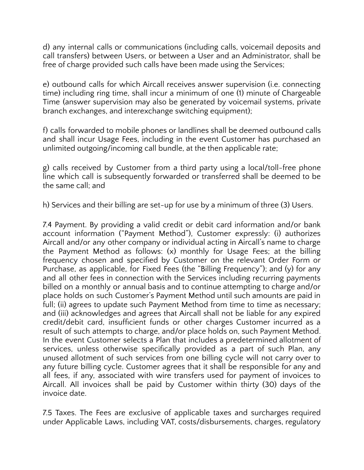d) any internal calls or communications (including calls, voicemail deposits and call transfers) between Users, or between a User and an Administrator, shall be free of charge provided such calls have been made using the Services;

e) outbound calls for which Aircall receives answer supervision (i.e. connecting time) including ring time, shall incur a minimum of one (1) minute of Chargeable Time (answer supervision may also be generated by voicemail systems, private branch exchanges, and interexchange switching equipment);

f) calls forwarded to mobile phones or landlines shall be deemed outbound calls and shall incur Usage Fees, including in the event Customer has purchased an unlimited outgoing/incoming call bundle, at the then applicable rate;

g) calls received by Customer from a third party using a local/toll-free phone line which call is subsequently forwarded or transferred shall be deemed to be the same call; and

h) Services and their billing are set-up for use by a minimum of three (3) Users.

7.4 Payment. By providing a valid credit or debit card information and/or bank account information ("Payment Method"), Customer expressly: (i) authorizes Aircall and/or any other company or individual acting in Aircall's name to charge the Payment Method as follows: (x) monthly for Usage Fees; at the billing frequency chosen and specified by Customer on the relevant Order Form or Purchase, as applicable, for Fixed Fees (the "Billing Frequency"); and (y) for any and all other fees in connection with the Services including recurring payments billed on a monthly or annual basis and to continue attempting to charge and/or place holds on such Customer's Payment Method until such amounts are paid in full; (ii) agrees to update such Payment Method from time to time as necessary; and (iii) acknowledges and agrees that Aircall shall not be liable for any expired credit/debit card, insufficient funds or other charges Customer incurred as a result of such attempts to charge, and/or place holds on, such Payment Method. In the event Customer selects a Plan that includes a predetermined allotment of services, unless otherwise specifically provided as a part of such Plan, any unused allotment of such services from one billing cycle will not carry over to any future billing cycle. Customer agrees that it shall be responsible for any and all fees, if any, associated with wire transfers used for payment of invoices to Aircall. All invoices shall be paid by Customer within thirty (30) days of the invoice date.

7.5 Taxes. The Fees are exclusive of applicable taxes and surcharges required under Applicable Laws, including VAT, costs/disbursements, charges, regulatory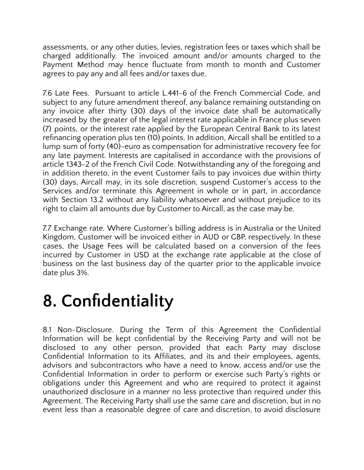assessments, or any other duties, levies, registration fees or taxes which shall be charged additionally. The invoiced amount and/or amounts charged to the Payment Method may hence fluctuate from month to month and Customer agrees to pay any and all fees and/or taxes due.

7.6 Late Fees. Pursuant to article L.441-6 of the French Commercial Code, and subject to any future amendment thereof, any balance remaining outstanding on any invoice after thirty (30) days of the invoice date shall be automatically increased by the greater of the legal interest rate applicable in France plus seven (7) points, or the interest rate applied by the European Central Bank to its latest refinancing operation plus ten (10) points. In addition, Aircall shall be entitled to a lump sum of forty (40)-euro as compensation for administrative recovery fee for any late payment. Interests are capitalised in accordance with the provisions of article 1343-2 of the French Civil Code. Notwithstanding any of the foregoing and in addition thereto, in the event Customer fails to pay invoices due within thirty (30) days, Aircall may, in its sole discretion, suspend Customer's access to the Services and/or terminate this Agreement in whole or in part, in accordance with Section 13.2 without any liability whatsoever and without prejudice to its right to claim all amounts due by Customer to Aircall, as the case may be.

7.7 Exchange rate. Where Customer's billing address is in Australia or the United Kingdom, Customer will be invoiced either in AUD or GBP, respectively. In these cases, the Usage Fees will be calculated based on a conversion of the fees incurred by Customer in USD at the exchange rate applicable at the close of business on the last business day of the quarter prior to the applicable invoice date plus 3%.

## **8. Confidentiality**

8.1 Non-Disclosure. During the Term of this Agreement the Confidential Information will be kept confidential by the Receiving Party and will not be disclosed to any other person, provided that each Party may disclose Confidential Information to its Affiliates, and its and their employees, agents, advisors and subcontractors who have a need to know, access and/or use the Confidential Information in order to perform or exercise such Party's rights or obligations under this Agreement and who are required to protect it against unauthorized disclosure in a manner no less protective than required under this Agreement. The Receiving Party shall use the same care and discretion, but in no event less than a reasonable degree of care and discretion, to avoid disclosure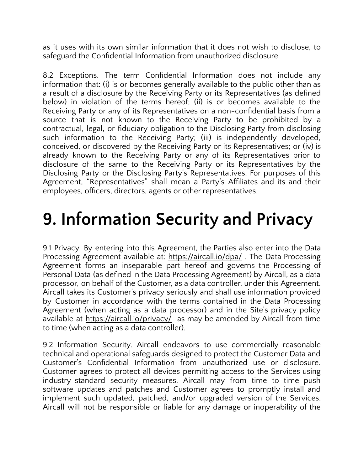as it uses with its own similar information that it does not wish to disclose, to safeguard the Confidential Information from unauthorized disclosure.

8.2 Exceptions. The term Confidential Information does not include any information that: (i) is or becomes generally available to the public other than as a result of a disclosure by the Receiving Party or its Representatives (as defined below) in violation of the terms hereof; (ii) is or becomes available to the Receiving Party or any of its Representatives on a non-confidential basis from a source that is not known to the Receiving Party to be prohibited by a contractual, legal, or fiduciary obligation to the Disclosing Party from disclosing such information to the Receiving Party; (iii) is independently developed, conceived, or discovered by the Receiving Party or its Representatives; or (iv) is already known to the Receiving Party or any of its Representatives prior to disclosure of the same to the Receiving Party or its Representatives by the Disclosing Party or the Disclosing Party's Representatives. For purposes of this Agreement, "Representatives" shall mean a Party's Affiliates and its and their employees, officers, directors, agents or other representatives.

# **9. Information Security and Privacy**

9.1 Privacy. By entering into this Agreement, the Parties also enter into the Data Processing Agreement available at: <https://aircall.io/dpa/>. The Data Processing Agreement forms an inseparable part hereof and governs the Processing of Personal Data (as defined in the Data Processing Agreement) by Aircall, as a data processor, on behalf of the Customer, as a data controller, under this Agreement. Aircall takes its Customer's privacy seriously and shall use information provided by Customer in accordance with the terms contained in the Data Processing Agreement (when acting as a data processor) and in the Site's privacy policy available at <https://aircall.io/privacy/> as may be amended by Aircall from time to time (when acting as a data controller).

9.2 Information Security. Aircall endeavors to use commercially reasonable technical and operational safeguards designed to protect the Customer Data and Customer's Confidential Information from unauthorized use or disclosure. Customer agrees to protect all devices permitting access to the Services using industry-standard security measures. Aircall may from time to time push software updates and patches and Customer agrees to promptly install and implement such updated, patched, and/or upgraded version of the Services. Aircall will not be responsible or liable for any damage or inoperability of the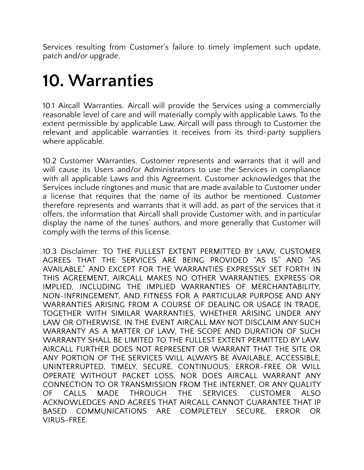Services resulting from Customer's failure to timely implement such update, patch and/or upgrade.

### **10. Warranties**

10.1 Aircall Warranties. Aircall will provide the Services using a commercially reasonable level of care and will materially comply with applicable Laws. To the extent permissible by applicable Law, Aircall will pass through to Customer the relevant and applicable warranties it receives from its third-party suppliers where applicable.

10.2 Customer Warranties. Customer represents and warrants that it will and will cause its Users and/or Administrators to use the Services in compliance with all applicable Laws and this Agreement. Customer acknowledges that the Services include ringtones and music that are made available to Customer under a license that requires that the name of its author be mentioned. Customer therefore represents and warrants that it will add, as part of the services that it offers, the information that Aircall shall provide Customer with, and in particular display the name of the tunes' authors, and more generally that Customer will comply with the terms of this license.

10.3 Disclaimer. TO THE FULLEST EXTENT PERMITTED BY LAW, CUSTOMER AGREES THAT THE SERVICES ARE BEING PROVIDED "AS IS" AND "AS AVAILABLE," AND EXCEPT FOR THE WARRANTIES EXPRESSLY SET FORTH IN THIS AGREEMENT, AIRCALL MAKES NO OTHER WARRANTIES, EXPRESS OR IMPLIED, INCLUDING THE IMPLIED WARRANTIES OF MERCHANTABILITY, NON-INFRINGEMENT, AND FITNESS FOR A PARTICULAR PURPOSE AND ANY WARRANTIES ARISING FROM A COURSE OF DEALING OR USAGE IN TRADE, TOGETHER WITH SIMILAR WARRANTIES, WHETHER ARISING UNDER ANY LAW OR OTHERWISE. IN THE EVENT AIRCALL MAY NOT DISCLAIM ANY SUCH WARRANTY AS A MATTER OF LAW, THE SCOPE AND DURATION OF SUCH WARRANTY SHALL BE LIMITED TO THE FULLEST EXTENT PERMITTED BY LAW. AIRCALL FURTHER DOES NOT REPRESENT OR WARRANT THAT THE SITE OR ANY PORTION OF THE SERVICES WILL ALWAYS BE AVAILABLE, ACCESSIBLE, UNINTERRUPTED, TIMELY, SECURE, CONTINUOUS, ERROR-FREE OR WILL OPERATE WITHOUT PACKET LOSS, NOR DOES AIRCALL WARRANT ANY CONNECTION TO OR TRANSMISSION FROM THE INTERNET, OR ANY QUALITY OF CALLS MADE THROUGH THE SERVICES. CUSTOMER ALSO ACKNOWLEDGES AND AGREES THAT AIRCALL CANNOT GUARANTEE THAT IP BASED COMMUNICATIONS ARE COMPLETELY SECURE, ERROR OR VIRUS-FREE.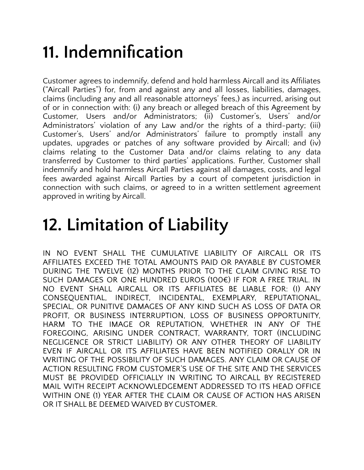# **11. Indemnification**

Customer agrees to indemnify, defend and hold harmless Aircall and its Affiliates ("Aircall Parties") for, from and against any and all losses, liabilities, damages, claims (including any and all reasonable attorneys' fees,) as incurred, arising out of or in connection with: (i) any breach or alleged breach of this Agreement by Customer, Users and/or Administrators; (ii) Customer's, Users' and/or Administrators' violation of any Law and/or the rights of a third-party; (iii) Customer's, Users' and/or Administrators' failure to promptly install any updates, upgrades or patches of any software provided by Aircall; and (iv) claims relating to the Customer Data and/or claims relating to any data transferred by Customer to third parties' applications. Further, Customer shall indemnify and hold harmless Aircall Parties against all damages, costs, and legal fees awarded against Aircall Parties by a court of competent jurisdiction in connection with such claims, or agreed to in a written settlement agreement approved in writing by Aircall.

## **12. Limitation of Liability**

IN NO EVENT SHALL THE CUMULATIVE LIABILITY OF AIRCALL OR ITS AFFILIATES EXCEED THE TOTAL AMOUNTS PAID OR PAYABLE BY CUSTOMER DURING THE TWELVE (12) MONTHS PRIOR TO THE CLAIM GIVING RISE TO SUCH DAMAGES OR ONE HUNDRED EUROS (100€) IF FOR A FREE TRIAL. IN NO EVENT SHALL AIRCALL OR ITS AFFILIATES BE LIABLE FOR: (I) ANY CONSEQUENTIAL, INDIRECT, INCIDENTAL, EXEMPLARY, REPUTATIONAL, SPECIAL, OR PUNITIVE DAMAGES OF ANY KIND SUCH AS LOSS OF DATA OR PROFIT, OR BUSINESS INTERRUPTION, LOSS OF BUSINESS OPPORTUNITY, HARM TO THE IMAGE OR REPUTATION, WHETHER IN ANY OF THE FOREGOING, ARISING UNDER CONTRACT, WARRANTY, TORT (INCLUDING NEGLIGENCE OR STRICT LIABILITY) OR ANY OTHER THEORY OF LIABILITY EVEN IF AIRCALL OR ITS AFFILIATES HAVE BEEN NOTIFIED ORALLY OR IN WRITING OF THE POSSIBILITY OF SUCH DAMAGES. ANY CLAIM OR CAUSE OF ACTION RESULTING FROM CUSTOMER'S USE OF THE SITE AND THE SERVICES MUST BE PROVIDED OFFICIALLY IN WRITING TO AIRCALL BY REGISTERED MAIL WITH RECEIPT ACKNOWLEDGEMENT ADDRESSED TO ITS HEAD OFFICE WITHIN ONE (1) YEAR AFTER THE CLAIM OR CAUSE OF ACTION HAS ARISEN OR IT SHALL BE DEEMED WAIVED BY CUSTOMER.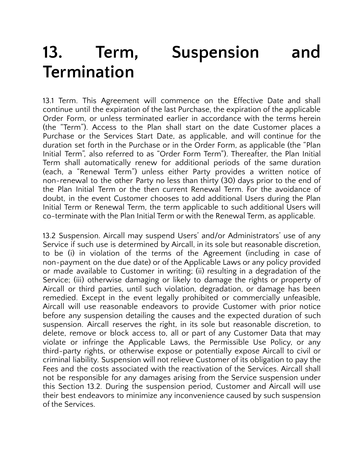## **13. Term, Suspension and Termination**

13.1 Term. This Agreement will commence on the Effective Date and shall continue until the expiration of the last Purchase, the expiration of the applicable Order Form, or unless terminated earlier in accordance with the terms herein (the "Term"). Access to the Plan shall start on the date Customer places a Purchase or the Services Start Date, as applicable, and will continue for the duration set forth in the Purchase or in the Order Form, as applicable (the "Plan Initial Term", also referred to as "Order Form Term"). Thereafter, the Plan Initial Term shall automatically renew for additional periods of the same duration (each, a "Renewal Term") unless either Party provides a written notice of non-renewal to the other Party no less than thirty (30) days prior to the end of the Plan Initial Term or the then current Renewal Term. For the avoidance of doubt, in the event Customer chooses to add additional Users during the Plan Initial Term or Renewal Term, the term applicable to such additional Users will co-terminate with the Plan Initial Term or with the Renewal Term, as applicable.

13.2 Suspension. Aircall may suspend Users' and/or Administrators' use of any Service if such use is determined by Aircall, in its sole but reasonable discretion, to be (i) in violation of the terms of the Agreement (including in case of non-payment on the due date) or of the Applicable Laws or any policy provided or made available to Customer in writing; (ii) resulting in a degradation of the Service; (iii) otherwise damaging or likely to damage the rights or property of Aircall or third parties, until such violation, degradation, or damage has been remedied. Except in the event legally prohibited or commercially unfeasible, Aircall will use reasonable endeavors to provide Customer with prior notice before any suspension detailing the causes and the expected duration of such suspension. Aircall reserves the right, in its sole but reasonable discretion, to delete, remove or block access to, all or part of any Customer Data that may violate or infringe the Applicable Laws, the Permissible Use Policy, or any third-party rights, or otherwise expose or potentially expose Aircall to civil or criminal liability. Suspension will not relieve Customer of its obligation to pay the Fees and the costs associated with the reactivation of the Services. Aircall shall not be responsible for any damages arising from the Service suspension under this Section 13.2. During the suspension period, Customer and Aircall will use their best endeavors to minimize any inconvenience caused by such suspension of the Services.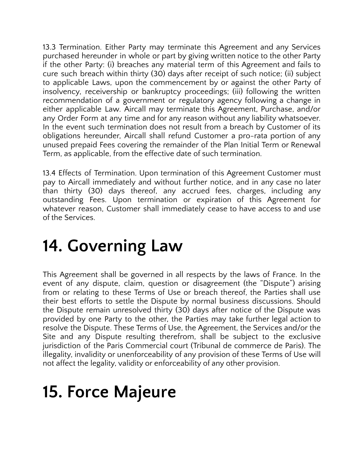13.3 Termination. Either Party may terminate this Agreement and any Services purchased hereunder in whole or part by giving written notice to the other Party if the other Party: (i) breaches any material term of this Agreement and fails to cure such breach within thirty (30) days after receipt of such notice; (ii) subject to applicable Laws, upon the commencement by or against the other Party of insolvency, receivership or bankruptcy proceedings; (iii) following the written recommendation of a government or regulatory agency following a change in either applicable Law. Aircall may terminate this Agreement, Purchase, and/or any Order Form at any time and for any reason without any liability whatsoever. In the event such termination does not result from a breach by Customer of its obligations hereunder, Aircall shall refund Customer a pro-rata portion of any unused prepaid Fees covering the remainder of the Plan Initial Term or Renewal Term, as applicable, from the effective date of such termination.

13.4 Effects of Termination. Upon termination of this Agreement Customer must pay to Aircall immediately and without further notice, and in any case no later than thirty (30) days thereof, any accrued fees, charges, including any outstanding Fees. Upon termination or expiration of this Agreement for whatever reason, Customer shall immediately cease to have access to and use of the Services.

# **14. Governing Law**

This Agreement shall be governed in all respects by the laws of France. In the event of any dispute, claim, question or disagreement (the "Dispute") arising from or relating to these Terms of Use or breach thereof, the Parties shall use their best efforts to settle the Dispute by normal business discussions. Should the Dispute remain unresolved thirty (30) days after notice of the Dispute was provided by one Party to the other, the Parties may take further legal action to resolve the Dispute. These Terms of Use, the Agreement, the Services and/or the Site and any Dispute resulting therefrom, shall be subject to the exclusive jurisdiction of the Paris Commercial court (Tribunal de commerce de Paris). The illegality, invalidity or unenforceability of any provision of these Terms of Use will not affect the legality, validity or enforceability of any other provision.

### **15. Force Majeure**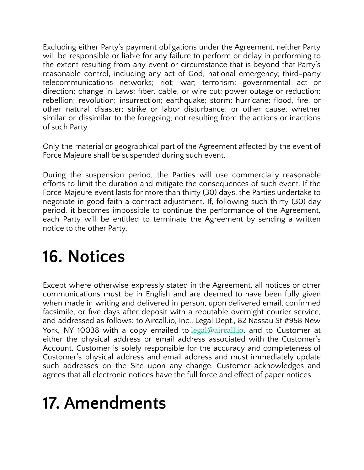Excluding either Party's payment obligations under the Agreement, neither Party will be responsible or liable for any failure to perform or delay in performing to the extent resulting from any event or circumstance that is beyond that Party's reasonable control, including any act of God; national emergency; third-party telecommunications networks; riot; war; terrorism; governmental act or direction; change in Laws; fiber, cable, or wire cut; power outage or reduction; rebellion; revolution; insurrection; earthquake; storm; hurricane; flood, fire, or other natural disaster; strike or labor disturbance; or other cause, whether similar or dissimilar to the foregoing, not resulting from the actions or inactions of such Party.

Only the material or geographical part of the Agreement affected by the event of Force Majeure shall be suspended during such event.

During the suspension period, the Parties will use commercially reasonable efforts to limit the duration and mitigate the consequences of such event. If the Force Majeure event lasts for more than thirty (30) days, the Parties undertake to negotiate in good faith a contract adjustment. If, following such thirty (30) day period, it becomes impossible to continue the performance of the Agreement, each Party will be entitled to terminate the Agreement by sending a written notice to the other Party.

#### **16. Notices**

Except where otherwise expressly stated in the Agreement, all notices or other communications must be in English and are deemed to have been fully given when made in writing and delivered in person, upon delivered email, confirmed facsimile, or five days after deposit with a reputable overnight courier service, and addressed as follows: to Aircall.io, Inc., Legal Dept., 82 Nassau St #958 New York, NY 10038 with a copy emailed to [legal@aircall.io](mailto:legal@aircall.io), and to Customer at either the physical address or email address associated with the Customer's Account. Customer is solely responsible for the accuracy and completeness of Customer's physical address and email address and must immediately update such addresses on the Site upon any change. Customer acknowledges and agrees that all electronic notices have the full force and effect of paper notices.

### **17. Amendments**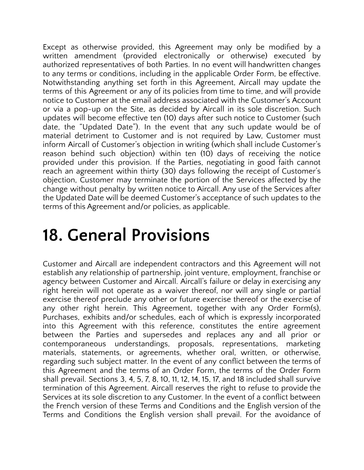Except as otherwise provided, this Agreement may only be modified by a written amendment (provided electronically or otherwise) executed by authorized representatives of both Parties. In no event will handwritten changes to any terms or conditions, including in the applicable Order Form, be effective. Notwithstanding anything set forth in this Agreement, Aircall may update the terms of this Agreement or any of its policies from time to time, and will provide notice to Customer at the email address associated with the Customer's Account or via a pop-up on the Site, as decided by Aircall in its sole discretion. Such updates will become effective ten (10) days after such notice to Customer (such date, the "Updated Date"). In the event that any such update would be of material detriment to Customer and is not required by Law, Customer must inform Aircall of Customer's objection in writing (which shall include Customer's reason behind such objection) within ten (10) days of receiving the notice provided under this provision. If the Parties, negotiating in good faith cannot reach an agreement within thirty (30) days following the receipt of Customer's objection, Customer may terminate the portion of the Services affected by the change without penalty by written notice to Aircall. Any use of the Services after the Updated Date will be deemed Customer's acceptance of such updates to the terms of this Agreement and/or policies, as applicable.

## **18. General Provisions**

Customer and Aircall are independent contractors and this Agreement will not establish any relationship of partnership, joint venture, employment, franchise or agency between Customer and Aircall. Aircall's failure or delay in exercising any right herein will not operate as a waiver thereof, nor will any single or partial exercise thereof preclude any other or future exercise thereof or the exercise of any other right herein. This Agreement, together with any Order Form(s), Purchases, exhibits and/or schedules, each of which is expressly incorporated into this Agreement with this reference, constitutes the entire agreement between the Parties and supersedes and replaces any and all prior or contemporaneous understandings, proposals, representations, marketing materials, statements, or agreements, whether oral, written, or otherwise, regarding such subject matter. In the event of any conflict between the terms of this Agreement and the terms of an Order Form, the terms of the Order Form shall prevail. Sections 3, 4, 5, 7, 8, 10, 11, 12, 14, 15, 17, and 18 included shall survive termination of this Agreement. Aircall reserves the right to refuse to provide the Services at its sole discretion to any Customer. In the event of a conflict between the French version of these Terms and Conditions and the English version of the Terms and Conditions the English version shall prevail. For the avoidance of